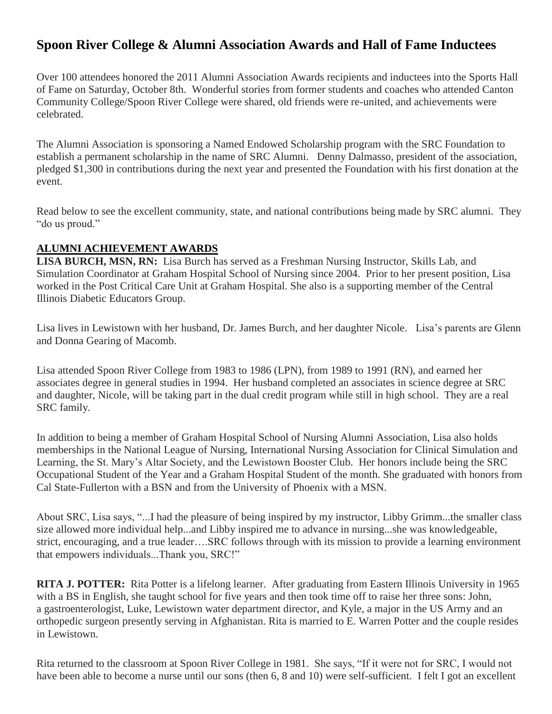# **Spoon River College & Alumni Association Awards and Hall of Fame Inductees**

Over 100 attendees honored the 2011 Alumni Association Awards recipients and inductees into the Sports Hall of Fame on Saturday, October 8th. Wonderful stories from former students and coaches who attended Canton Community College/Spoon River College were shared, old friends were re-united, and achievements were celebrated.

The Alumni Association is sponsoring a Named Endowed Scholarship program with the SRC Foundation to establish a permanent scholarship in the name of SRC Alumni. Denny Dalmasso, president of the association, pledged \$1,300 in contributions during the next year and presented the Foundation with his first donation at the event.

Read below to see the excellent community, state, and national contributions being made by SRC alumni. They "do us proud."

## **ALUMNI ACHIEVEMENT AWARDS**

**LISA BURCH, MSN, RN:** Lisa Burch has served as a Freshman Nursing Instructor, Skills Lab, and Simulation Coordinator at Graham Hospital School of Nursing since 2004. Prior to her present position, Lisa worked in the Post Critical Care Unit at Graham Hospital. She also is a supporting member of the Central Illinois Diabetic Educators Group.

Lisa lives in Lewistown with her husband, Dr. James Burch, and her daughter Nicole. Lisa's parents are Glenn and Donna Gearing of Macomb.

Lisa attended Spoon River College from 1983 to 1986 (LPN), from 1989 to 1991 (RN), and earned her associates degree in general studies in 1994. Her husband completed an associates in science degree at SRC and daughter, Nicole, will be taking part in the dual credit program while still in high school. They are a real SRC family.

In addition to being a member of Graham Hospital School of Nursing Alumni Association, Lisa also holds memberships in the National League of Nursing, International Nursing Association for Clinical Simulation and Learning, the St. Mary's Altar Society, and the Lewistown Booster Club. Her honors include being the SRC Occupational Student of the Year and a Graham Hospital Student of the month. She graduated with honors from Cal State-Fullerton with a BSN and from the University of Phoenix with a MSN.

About SRC, Lisa says, "...I had the pleasure of being inspired by my instructor, Libby Grimm...the smaller class size allowed more individual help...and Libby inspired me to advance in nursing...she was knowledgeable, strict, encouraging, and a true leader….SRC follows through with its mission to provide a learning environment that empowers individuals...Thank you, SRC!"

**RITA J. POTTER:** Rita Potter is a lifelong learner. After graduating from Eastern Illinois University in 1965 with a BS in English, she taught school for five years and then took time off to raise her three sons: John, a gastroenterologist, Luke, Lewistown water department director, and Kyle, a major in the US Army and an orthopedic surgeon presently serving in Afghanistan. Rita is married to E. Warren Potter and the couple resides in Lewistown.

Rita returned to the classroom at Spoon River College in 1981. She says, "If it were not for SRC, I would not have been able to become a nurse until our sons (then 6, 8 and 10) were self-sufficient. I felt I got an excellent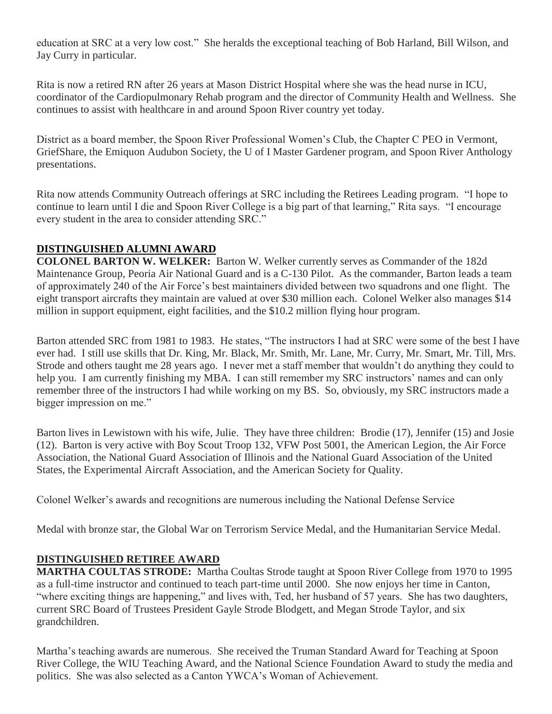education at SRC at a very low cost." She heralds the exceptional teaching of Bob Harland, Bill Wilson, and Jay Curry in particular.

Rita is now a retired RN after 26 years at Mason District Hospital where she was the head nurse in ICU, coordinator of the Cardiopulmonary Rehab program and the director of Community Health and Wellness. She continues to assist with healthcare in and around Spoon River country yet today.

District as a board member, the Spoon River Professional Women's Club, the Chapter C PEO in Vermont, GriefShare, the Emiquon Audubon Society, the U of I Master Gardener program, and Spoon River Anthology presentations.

Rita now attends Community Outreach offerings at SRC including the Retirees Leading program. "I hope to continue to learn until I die and Spoon River College is a big part of that learning," Rita says. "I encourage every student in the area to consider attending SRC."

## **DISTINGUISHED ALUMNI AWARD**

**COLONEL BARTON W. WELKER:** Barton W. Welker currently serves as Commander of the 182d Maintenance Group, Peoria Air National Guard and is a C-130 Pilot. As the commander, Barton leads a team of approximately 240 of the Air Force's best maintainers divided between two squadrons and one flight. The eight transport aircrafts they maintain are valued at over \$30 million each. Colonel Welker also manages \$14 million in support equipment, eight facilities, and the \$10.2 million flying hour program.

Barton attended SRC from 1981 to 1983. He states, "The instructors I had at SRC were some of the best I have ever had. I still use skills that Dr. King, Mr. Black, Mr. Smith, Mr. Lane, Mr. Curry, Mr. Smart, Mr. Till, Mrs. Strode and others taught me 28 years ago. I never met a staff member that wouldn't do anything they could to help you. I am currently finishing my MBA. I can still remember my SRC instructors' names and can only remember three of the instructors I had while working on my BS. So, obviously, my SRC instructors made a bigger impression on me."

Barton lives in Lewistown with his wife, Julie. They have three children: Brodie (17), Jennifer (15) and Josie (12). Barton is very active with Boy Scout Troop 132, VFW Post 5001, the American Legion, the Air Force Association, the National Guard Association of Illinois and the National Guard Association of the United States, the Experimental Aircraft Association, and the American Society for Quality.

Colonel Welker's awards and recognitions are numerous including the National Defense Service

Medal with bronze star, the Global War on Terrorism Service Medal, and the Humanitarian Service Medal.

#### **DISTINGUISHED RETIREE AWARD**

**MARTHA COULTAS STRODE:** Martha Coultas Strode taught at Spoon River College from 1970 to 1995 as a full-time instructor and continued to teach part-time until 2000. She now enjoys her time in Canton, "where exciting things are happening," and lives with, Ted, her husband of 57 years. She has two daughters, current SRC Board of Trustees President Gayle Strode Blodgett, and Megan Strode Taylor, and six grandchildren.

Martha's teaching awards are numerous. She received the Truman Standard Award for Teaching at Spoon River College, the WIU Teaching Award, and the National Science Foundation Award to study the media and politics. She was also selected as a Canton YWCA's Woman of Achievement.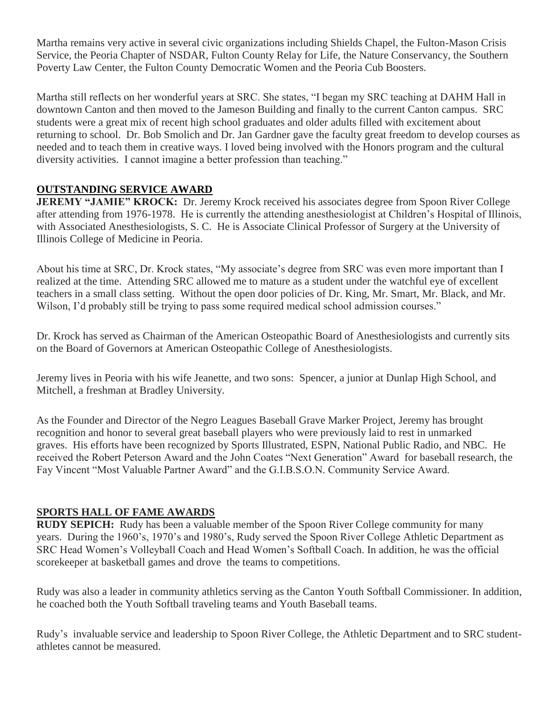Martha remains very active in several civic organizations including Shields Chapel, the Fulton-Mason Crisis Service, the Peoria Chapter of NSDAR, Fulton County Relay for Life, the Nature Conservancy, the Southern Poverty Law Center, the Fulton County Democratic Women and the Peoria Cub Boosters.

Martha still reflects on her wonderful years at SRC. She states, "I began my SRC teaching at DAHM Hall in downtown Canton and then moved to the Jameson Building and finally to the current Canton campus. SRC students were a great mix of recent high school graduates and older adults filled with excitement about returning to school. Dr. Bob Smolich and Dr. Jan Gardner gave the faculty great freedom to develop courses as needed and to teach them in creative ways. I loved being involved with the Honors program and the cultural diversity activities. I cannot imagine a better profession than teaching."

# **OUTSTANDING SERVICE AWARD**

**JEREMY "JAMIE" KROCK:** Dr. Jeremy Krock received his associates degree from Spoon River College after attending from 1976-1978. He is currently the attending anesthesiologist at Children's Hospital of Illinois, with Associated Anesthesiologists, S. C. He is Associate Clinical Professor of Surgery at the University of Illinois College of Medicine in Peoria.

About his time at SRC, Dr. Krock states, "My associate's degree from SRC was even more important than I realized at the time. Attending SRC allowed me to mature as a student under the watchful eye of excellent teachers in a small class setting. Without the open door policies of Dr. King, Mr. Smart, Mr. Black, and Mr. Wilson, I'd probably still be trying to pass some required medical school admission courses."

Dr. Krock has served as Chairman of the American Osteopathic Board of Anesthesiologists and currently sits on the Board of Governors at American Osteopathic College of Anesthesiologists.

Jeremy lives in Peoria with his wife Jeanette, and two sons: Spencer, a junior at Dunlap High School, and Mitchell, a freshman at Bradley University.

As the Founder and Director of the Negro Leagues Baseball Grave Marker Project, Jeremy has brought recognition and honor to several great baseball players who were previously laid to rest in unmarked graves. His efforts have been recognized by Sports Illustrated, ESPN, National Public Radio, and NBC. He received the Robert Peterson Award and the John Coates "Next Generation" Award for baseball research, the Fay Vincent "Most Valuable Partner Award" and the G.I.B.S.O.N. Community Service Award.

#### **SPORTS HALL OF FAME AWARDS**

**RUDY SEPICH:** Rudy has been a valuable member of the Spoon River College community for many years. During the 1960's, 1970's and 1980's, Rudy served the Spoon River College Athletic Department as SRC Head Women's Volleyball Coach and Head Women's Softball Coach. In addition, he was the official scorekeeper at basketball games and drove the teams to competitions.

Rudy was also a leader in community athletics serving as the Canton Youth Softball Commissioner. In addition, he coached both the Youth Softball traveling teams and Youth Baseball teams.

Rudy's invaluable service and leadership to Spoon River College, the Athletic Department and to SRC studentathletes cannot be measured.